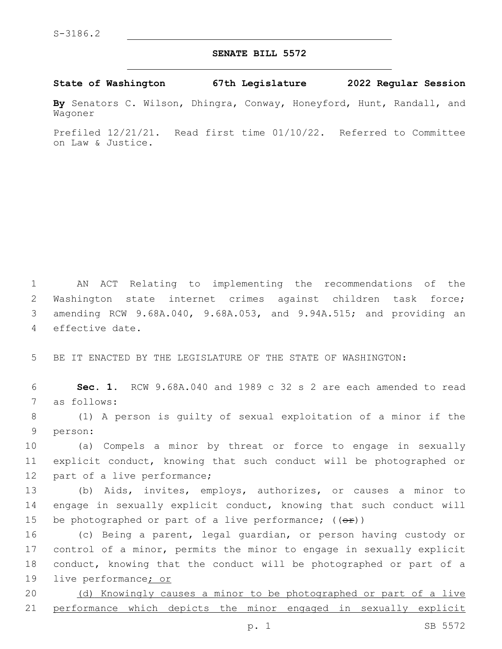## **SENATE BILL 5572**

**State of Washington 67th Legislature 2022 Regular Session**

**By** Senators C. Wilson, Dhingra, Conway, Honeyford, Hunt, Randall, and Wagoner

Prefiled 12/21/21. Read first time 01/10/22. Referred to Committee on Law & Justice.

 AN ACT Relating to implementing the recommendations of the Washington state internet crimes against children task force; amending RCW 9.68A.040, 9.68A.053, and 9.94A.515; and providing an 4 effective date.

5 BE IT ENACTED BY THE LEGISLATURE OF THE STATE OF WASHINGTON:

6 **Sec. 1.** RCW 9.68A.040 and 1989 c 32 s 2 are each amended to read 7 as follows:

8 (1) A person is guilty of sexual exploitation of a minor if the 9 person:

10 (a) Compels a minor by threat or force to engage in sexually 11 explicit conduct, knowing that such conduct will be photographed or 12 part of a live performance;

13 (b) Aids, invites, employs, authorizes, or causes a minor to 14 engage in sexually explicit conduct, knowing that such conduct will 15 be photographed or part of a live performance;  $((\theta \cdot \hat{r}))$ 

 (c) Being a parent, legal guardian, or person having custody or control of a minor, permits the minor to engage in sexually explicit conduct, knowing that the conduct will be photographed or part of a live performance; or

20 (d) Knowingly causes a minor to be photographed or part of a live 21 performance which depicts the minor engaged in sexually explicit

p. 1 SB 5572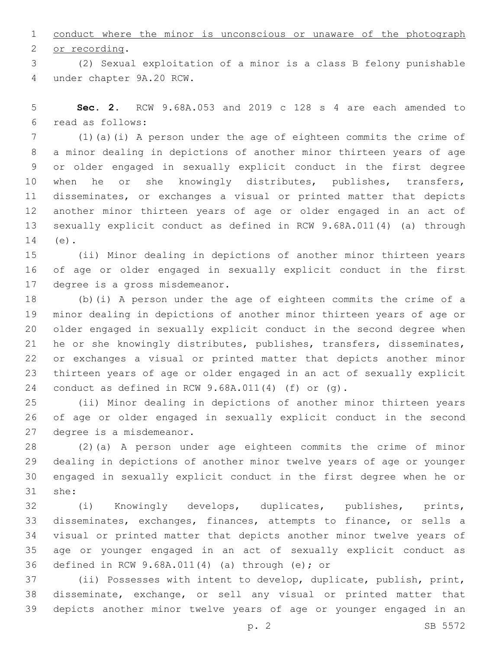conduct where the minor is unconscious or unaware of the photograph 2 or recording.

 (2) Sexual exploitation of a minor is a class B felony punishable under chapter 9A.20 RCW.4

 **Sec. 2.** RCW 9.68A.053 and 2019 c 128 s 4 are each amended to read as follows:6

 (1)(a)(i) A person under the age of eighteen commits the crime of a minor dealing in depictions of another minor thirteen years of age or older engaged in sexually explicit conduct in the first degree 10 when he or she knowingly distributes, publishes, transfers, disseminates, or exchanges a visual or printed matter that depicts another minor thirteen years of age or older engaged in an act of sexually explicit conduct as defined in RCW 9.68A.011(4) (a) through 14 (e).

 (ii) Minor dealing in depictions of another minor thirteen years of age or older engaged in sexually explicit conduct in the first 17 degree is a gross misdemeanor.

 (b)(i) A person under the age of eighteen commits the crime of a minor dealing in depictions of another minor thirteen years of age or older engaged in sexually explicit conduct in the second degree when he or she knowingly distributes, publishes, transfers, disseminates, or exchanges a visual or printed matter that depicts another minor thirteen years of age or older engaged in an act of sexually explicit conduct as defined in RCW 9.68A.011(4) (f) or (g).

 (ii) Minor dealing in depictions of another minor thirteen years of age or older engaged in sexually explicit conduct in the second 27 degree is a misdemeanor.

 (2)(a) A person under age eighteen commits the crime of minor dealing in depictions of another minor twelve years of age or younger engaged in sexually explicit conduct in the first degree when he or 31 she:

 (i) Knowingly develops, duplicates, publishes, prints, disseminates, exchanges, finances, attempts to finance, or sells a visual or printed matter that depicts another minor twelve years of age or younger engaged in an act of sexually explicit conduct as 36 defined in RCW  $9.68A.011(4)$  (a) through (e); or

 (ii) Possesses with intent to develop, duplicate, publish, print, disseminate, exchange, or sell any visual or printed matter that depicts another minor twelve years of age or younger engaged in an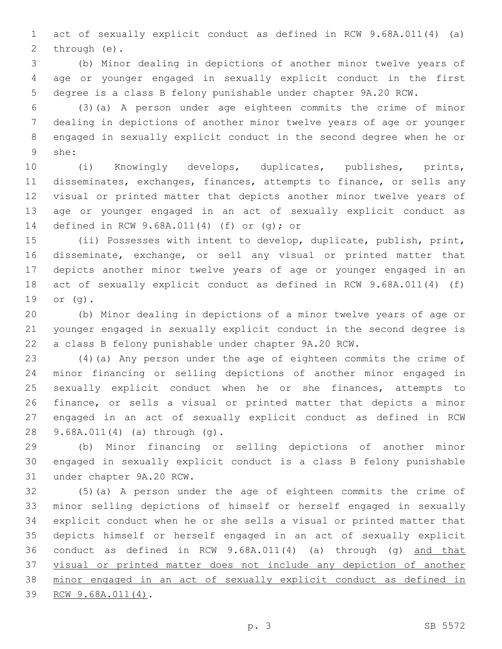act of sexually explicit conduct as defined in RCW 9.68A.011(4) (a) 2 through (e).

 (b) Minor dealing in depictions of another minor twelve years of age or younger engaged in sexually explicit conduct in the first degree is a class B felony punishable under chapter 9A.20 RCW.

 (3)(a) A person under age eighteen commits the crime of minor dealing in depictions of another minor twelve years of age or younger engaged in sexually explicit conduct in the second degree when he or she:9

 (i) Knowingly develops, duplicates, publishes, prints, disseminates, exchanges, finances, attempts to finance, or sells any visual or printed matter that depicts another minor twelve years of age or younger engaged in an act of sexually explicit conduct as 14 defined in RCW 9.68A.011(4) (f) or (g); or

 (ii) Possesses with intent to develop, duplicate, publish, print, disseminate, exchange, or sell any visual or printed matter that depicts another minor twelve years of age or younger engaged in an act of sexually explicit conduct as defined in RCW 9.68A.011(4) (f) 19 or (g).

 (b) Minor dealing in depictions of a minor twelve years of age or younger engaged in sexually explicit conduct in the second degree is a class B felony punishable under chapter 9A.20 RCW.

 (4)(a) Any person under the age of eighteen commits the crime of minor financing or selling depictions of another minor engaged in sexually explicit conduct when he or she finances, attempts to finance, or sells a visual or printed matter that depicts a minor engaged in an act of sexually explicit conduct as defined in RCW 9.68A.011(4) (a) through (g).28

 (b) Minor financing or selling depictions of another minor engaged in sexually explicit conduct is a class B felony punishable 31 under chapter 9A.20 RCW.

 (5)(a) A person under the age of eighteen commits the crime of minor selling depictions of himself or herself engaged in sexually explicit conduct when he or she sells a visual or printed matter that depicts himself or herself engaged in an act of sexually explicit conduct as defined in RCW 9.68A.011(4) (a) through (g) and that visual or printed matter does not include any depiction of another minor engaged in an act of sexually explicit conduct as defined in 39 RCW 9.68A.011(4).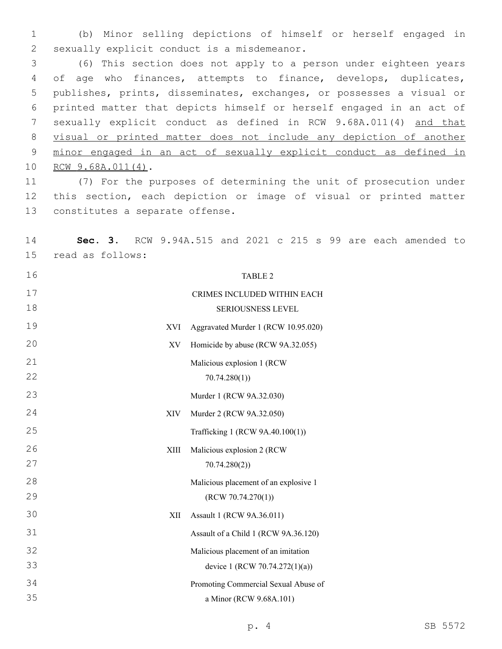(b) Minor selling depictions of himself or herself engaged in 2 sexually explicit conduct is a misdemeanor.

 (6) This section does not apply to a person under eighteen years 4 of age who finances, attempts to finance, develops, duplicates, publishes, prints, disseminates, exchanges, or possesses a visual or printed matter that depicts himself or herself engaged in an act of sexually explicit conduct as defined in RCW 9.68A.011(4) and that visual or printed matter does not include any depiction of another minor engaged in an act of sexually explicit conduct as defined in 10 RCW 9.68A.011(4).

 (7) For the purposes of determining the unit of prosecution under this section, each depiction or image of visual or printed matter 13 constitutes a separate offense.

 **Sec. 3.** RCW 9.94A.515 and 2021 c 215 s 99 are each amended to 15 read as follows:

 TABLE 2 CRIMES INCLUDED WITHIN EACH SERIOUSNESS LEVEL XVI Aggravated Murder 1 (RCW 10.95.020) XV Homicide by abuse (RCW 9A.32.055) Malicious explosion 1 (RCW 70.74.280(1)) Murder 1 (RCW 9A.32.030) XIV Murder 2 (RCW 9A.32.050) Trafficking 1 (RCW 9A.40.100(1)) XIII Malicious explosion 2 (RCW 70.74.280(2)) Malicious placement of an explosive 1 (RCW 70.74.270(1)) XII Assault 1 (RCW 9A.36.011) Assault of a Child 1 (RCW 9A.36.120) Malicious placement of an imitation device 1 (RCW 70.74.272(1)(a)) Promoting Commercial Sexual Abuse of a Minor (RCW 9.68A.101)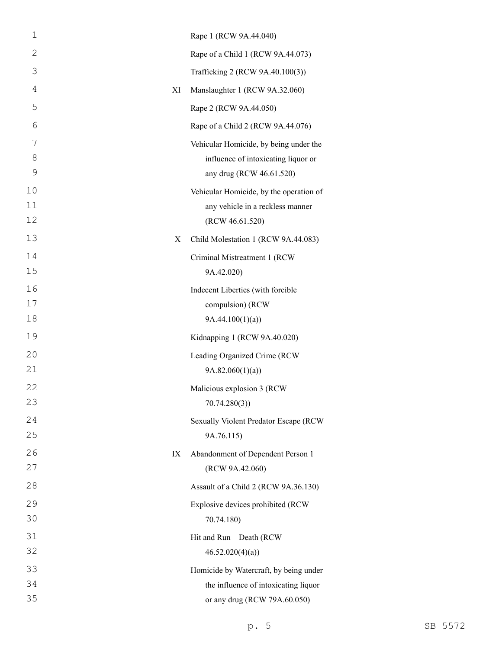| $\mathbf 1$    |    | Rape 1 (RCW 9A.44.040)                               |
|----------------|----|------------------------------------------------------|
| $\mathbf{2}$   |    | Rape of a Child 1 (RCW 9A.44.073)                    |
| 3              |    | Trafficking 2 (RCW 9A.40.100(3))                     |
| $\overline{4}$ | XI | Manslaughter 1 (RCW 9A.32.060)                       |
| 5              |    | Rape 2 (RCW 9A.44.050)                               |
| 6              |    | Rape of a Child 2 (RCW 9A.44.076)                    |
| 7              |    | Vehicular Homicide, by being under the               |
| 8              |    | influence of intoxicating liquor or                  |
| 9              |    | any drug (RCW 46.61.520)                             |
| 10             |    | Vehicular Homicide, by the operation of              |
| 11<br>12       |    | any vehicle in a reckless manner<br>(RCW 46.61.520)  |
| 13             | X  | Child Molestation 1 (RCW 9A.44.083)                  |
| 14             |    | Criminal Mistreatment 1 (RCW                         |
| 15             |    | 9A.42.020)                                           |
| 16             |    | Indecent Liberties (with forcible                    |
| 17             |    | compulsion) (RCW                                     |
| 18             |    | 9A.44.100(1)(a)                                      |
| 19             |    | Kidnapping 1 (RCW 9A.40.020)                         |
| 20             |    | Leading Organized Crime (RCW                         |
| 21             |    | 9A.82.060(1)(a)                                      |
| 22             |    | Malicious explosion 3 (RCW                           |
| 23             |    | 70.74.280(3)                                         |
| 24             |    | Sexually Violent Predator Escape (RCW                |
| 25             |    | 9A.76.115)                                           |
| 26<br>27       | IX | Abandonment of Dependent Person 1<br>(RCW 9A.42.060) |
| 28             |    | Assault of a Child 2 (RCW 9A.36.130)                 |
| 29             |    |                                                      |
| 30             |    | Explosive devices prohibited (RCW<br>70.74.180)      |
| 31             |    | Hit and Run-Death (RCW                               |
| 32             |    | 46.52.020(4)(a)                                      |
| 33             |    | Homicide by Watercraft, by being under               |
| 34             |    | the influence of intoxicating liquor                 |
| 35             |    | or any drug (RCW 79A.60.050)                         |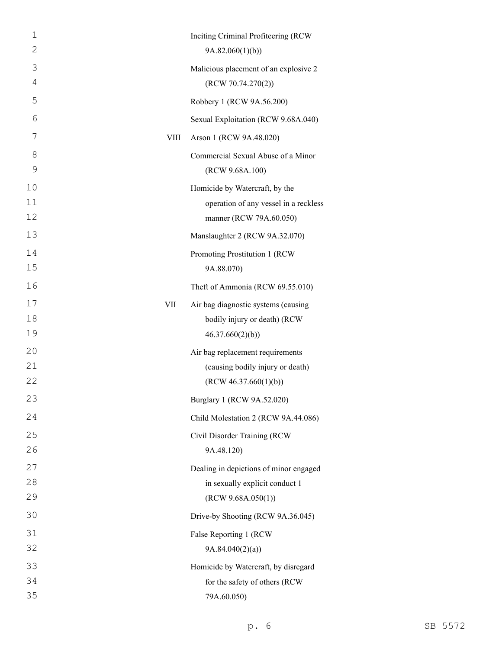| 1<br>$\mathbf{2}$ |             | Inciting Criminal Profiteering (RCW<br>9A.82.060(1)(b) |
|-------------------|-------------|--------------------------------------------------------|
| 3                 |             | Malicious placement of an explosive 2                  |
| $\overline{4}$    |             | (RCW 70.74.270(2))                                     |
| 5                 |             | Robbery 1 (RCW 9A.56.200)                              |
| 6                 |             | Sexual Exploitation (RCW 9.68A.040)                    |
| 7                 | <b>VIII</b> | Arson 1 (RCW 9A.48.020)                                |
| 8                 |             | Commercial Sexual Abuse of a Minor                     |
| 9                 |             | (RCW 9.68A.100)                                        |
| 10                |             | Homicide by Watercraft, by the                         |
| 11                |             | operation of any vessel in a reckless                  |
| 12                |             | manner (RCW 79A.60.050)                                |
| 13                |             | Manslaughter 2 (RCW 9A.32.070)                         |
| 14                |             | Promoting Prostitution 1 (RCW                          |
| 15                |             | 9A.88.070)                                             |
| 16                |             | Theft of Ammonia (RCW 69.55.010)                       |
| 17                | <b>VII</b>  | Air bag diagnostic systems (causing                    |
| 18                |             | bodily injury or death) (RCW                           |
| 19                |             | 46.37.660(2)(b)                                        |
| 20                |             | Air bag replacement requirements                       |
| 21                |             | (causing bodily injury or death)                       |
| 22                |             | (RCW 46.37.660(1)(b))                                  |
| 23                |             | Burglary 1 (RCW 9A.52.020)                             |
| 24                |             | Child Molestation 2 (RCW 9A.44.086)                    |
| 25                |             | Civil Disorder Training (RCW                           |
| 26                |             | 9A.48.120)                                             |
| 27                |             | Dealing in depictions of minor engaged                 |
| 28                |             | in sexually explicit conduct 1                         |
| 29                |             | (RCW 9.68A.050(1))                                     |
| 30                |             | Drive-by Shooting (RCW 9A.36.045)                      |
| 31                |             | False Reporting 1 (RCW                                 |
| 32                |             | 9A.84.040(2)(a)                                        |
| 33                |             | Homicide by Watercraft, by disregard                   |
| 34                |             | for the safety of others (RCW                          |
| 35                |             | 79A.60.050)                                            |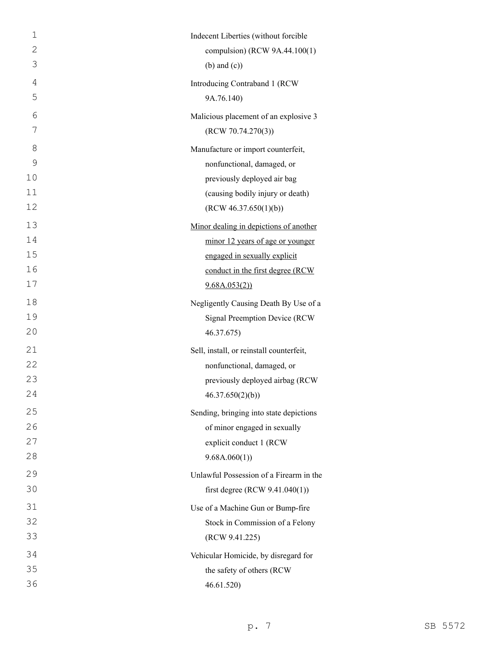| $\mathbf 1$    | Indecent Liberties (without forcible     |
|----------------|------------------------------------------|
| $\overline{2}$ | compulsion) (RCW 9A.44.100(1)            |
| 3              | $(b)$ and $(c)$ )                        |
| 4              | Introducing Contraband 1 (RCW            |
| 5              | 9A.76.140)                               |
| 6              | Malicious placement of an explosive 3    |
| 7              | (RCW 70.74.270(3))                       |
| 8              | Manufacture or import counterfeit,       |
| 9              | nonfunctional, damaged, or               |
| 10             | previously deployed air bag              |
| 11             | (causing bodily injury or death)         |
| 12             | (RCW 46.37.650(1)(b))                    |
| 13             | Minor dealing in depictions of another   |
| 14             | minor 12 years of age or younger         |
| 15             | engaged in sexually explicit             |
| 16             | conduct in the first degree (RCW         |
| 17             | 9.68A.053(2)                             |
| 18             | Negligently Causing Death By Use of a    |
| 19             | Signal Preemption Device (RCW            |
| 20             | 46.37.675)                               |
| 21             | Sell, install, or reinstall counterfeit, |
| 22             | nonfunctional, damaged, or               |
| 23             | previously deployed airbag (RCW          |
| 24             | 46.37.650(2)(b)                          |
| 25             | Sending, bringing into state depictions  |
| 26             | of minor engaged in sexually             |
| 27             | explicit conduct 1 (RCW                  |
| 28             | 9.68A.060(1)                             |
| 29             | Unlawful Possession of a Firearm in the  |
| 30             | first degree (RCW $9.41.040(1)$ )        |
| 31             | Use of a Machine Gun or Bump-fire        |
| 32             | Stock in Commission of a Felony          |
| 33             | (RCW 9.41.225)                           |
| 34             | Vehicular Homicide, by disregard for     |
| 35             | the safety of others (RCW                |
| 36             | 46.61.520)                               |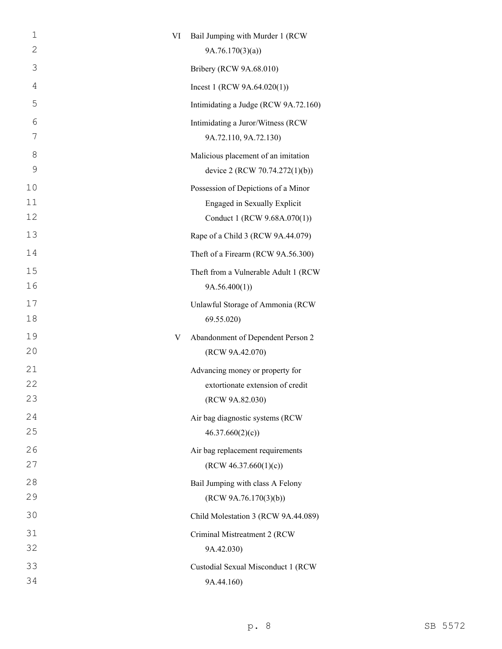| 1        | VI | Bail Jumping with Murder 1 (RCW                                       |
|----------|----|-----------------------------------------------------------------------|
| 2        |    | 9A.76.170(3)(a)                                                       |
| 3        |    | Bribery (RCW 9A.68.010)                                               |
| 4        |    | Incest 1 (RCW $9A.64.020(1)$ )                                        |
| 5        |    | Intimidating a Judge (RCW 9A.72.160)                                  |
| 6<br>7   |    | Intimidating a Juror/Witness (RCW<br>9A.72.110, 9A.72.130)            |
| 8<br>9   |    | Malicious placement of an imitation<br>device 2 (RCW 70.74.272(1)(b)) |
| 10       |    | Possession of Depictions of a Minor                                   |
| 11<br>12 |    | <b>Engaged in Sexually Explicit</b><br>Conduct 1 (RCW 9.68A.070(1))   |
| 13       |    | Rape of a Child 3 (RCW 9A.44.079)                                     |
| 14       |    | Theft of a Firearm (RCW 9A.56.300)                                    |
| 15<br>16 |    | Theft from a Vulnerable Adult 1 (RCW<br>9A.56.400(1)                  |
| 17<br>18 |    | Unlawful Storage of Ammonia (RCW<br>69.55.020)                        |
| 19       | V  | Abandonment of Dependent Person 2                                     |
| 20       |    | (RCW 9A.42.070)                                                       |
| 21       |    | Advancing money or property for                                       |
| 22       |    | extortionate extension of credit                                      |
| 23       |    | (RCW 9A.82.030)                                                       |
| 24       |    | Air bag diagnostic systems (RCW                                       |
| 25       |    | 46.37.660(2)(c)                                                       |
| 26       |    | Air bag replacement requirements                                      |
| 27       |    | (RCW 46.37.660(1)(c))                                                 |
| 28<br>29 |    | Bail Jumping with class A Felony<br>(RCW 9A.76.170(3)(b))             |
| 30       |    |                                                                       |
|          |    | Child Molestation 3 (RCW 9A.44.089)                                   |
| 31<br>32 |    | Criminal Mistreatment 2 (RCW                                          |
|          |    | 9A.42.030)                                                            |
| 33<br>34 |    | Custodial Sexual Misconduct 1 (RCW<br>9A.44.160)                      |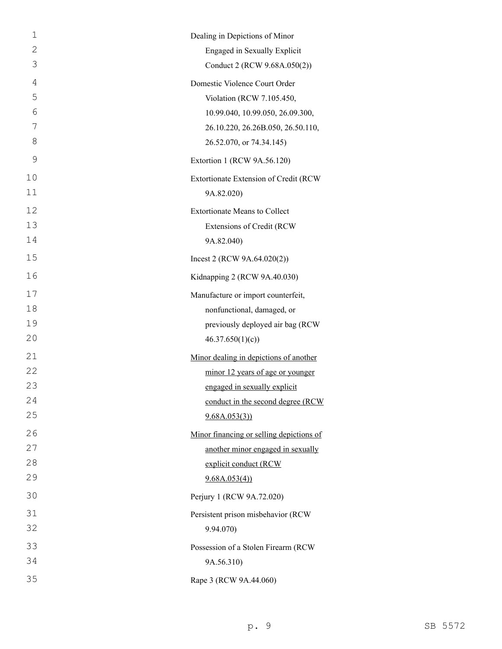| $\mathbf{1}$ | Dealing in Depictions of Minor           |
|--------------|------------------------------------------|
| $\mathbf{2}$ | Engaged in Sexually Explicit             |
| 3            | Conduct 2 (RCW 9.68A.050(2))             |
| 4            | Domestic Violence Court Order            |
| 5            | Violation (RCW 7.105.450,                |
| 6            | 10.99.040, 10.99.050, 26.09.300,         |
| 7            | 26.10.220, 26.26B.050, 26.50.110,        |
| 8            | 26.52.070, or 74.34.145)                 |
| 9            | Extortion 1 (RCW 9A.56.120)              |
| 10           | Extortionate Extension of Credit (RCW    |
| 11           | 9A.82.020)                               |
| 12           | <b>Extortionate Means to Collect</b>     |
| 13           | Extensions of Credit (RCW                |
| 14           | 9A.82.040)                               |
| 15           | Incest 2 (RCW $9A.64.020(2)$ )           |
| 16           | Kidnapping 2 (RCW 9A.40.030)             |
| 17           | Manufacture or import counterfeit,       |
| 18           | nonfunctional, damaged, or               |
| 19           | previously deployed air bag (RCW         |
| 20           | 46.37.650(1)(c)                          |
| 21           | Minor dealing in depictions of another   |
| 22           | minor 12 years of age or younger         |
| 23           | engaged in sexually explicit             |
| 24           | conduct in the second degree (RCW        |
| 25           | 9.68A.053(3)                             |
| 26           | Minor financing or selling depictions of |
| 27           | another minor engaged in sexually        |
| 28           | explicit conduct (RCW                    |
| 29           | 9.68A.053(4)                             |
| 30           | Perjury 1 (RCW 9A.72.020)                |
| 31           | Persistent prison misbehavior (RCW       |
| 32           | 9.94.070)                                |
| 33           | Possession of a Stolen Firearm (RCW      |
| 34           | 9A.56.310)                               |
| 35           | Rape 3 (RCW 9A.44.060)                   |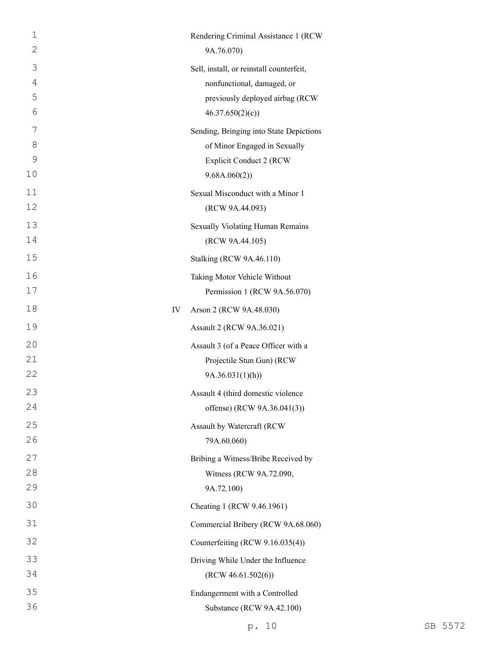| $\mathbf 1$    |    | Rendering Criminal Assistance 1 (RCW)    |
|----------------|----|------------------------------------------|
| $\overline{2}$ |    | 9A.76.070)                               |
| 3              |    | Sell, install, or reinstall counterfeit, |
| $\overline{4}$ |    | nonfunctional, damaged, or               |
| 5              |    | previously deployed airbag (RCW          |
| 6              |    | 46.37.650(2)(c)                          |
| 7              |    | Sending, Bringing into State Depictions  |
| 8              |    | of Minor Engaged in Sexually             |
| $\mathcal{G}$  |    | <b>Explicit Conduct 2 (RCW</b>           |
| 10             |    | 9.68A.060(2))                            |
| 11             |    | Sexual Misconduct with a Minor 1         |
| 12             |    | (RCW 9A.44.093)                          |
| 13             |    | Sexually Violating Human Remains         |
| 14             |    | (RCW 9A.44.105)                          |
| 15             |    | <b>Stalking (RCW 9A.46.110)</b>          |
| 16             |    | Taking Motor Vehicle Without             |
| 17             |    | Permission 1 (RCW 9A.56.070)             |
| 18             | IV | Arson 2 (RCW 9A.48.030)                  |
| 19             |    | Assault 2 (RCW 9A.36.021)                |
| 20             |    | Assault 3 (of a Peace Officer with a     |
| 21             |    | Projectile Stun Gun) (RCW                |
| 22             |    | 9A.36.031(1)(h)                          |
| 23             |    | Assault 4 (third domestic violence       |
| 24             |    | offense) (RCW 9A.36.041(3))              |
| 25             |    | Assault by Watercraft (RCW               |
| 26             |    | 79A.60.060)                              |
| 27             |    | Bribing a Witness/Bribe Received by      |
| 28             |    | Witness (RCW 9A.72.090,                  |
| 29             |    | 9A.72.100)                               |
| 30             |    | Cheating 1 (RCW 9.46.1961)               |
| 31             |    | Commercial Bribery (RCW 9A.68.060)       |
| 32             |    | Counterfeiting (RCW 9.16.035(4))         |
| 33             |    | Driving While Under the Influence        |
| 34             |    | (RCW 46.61.502(6))                       |
| 35             |    | Endangerment with a Controlled           |
| 36             |    | Substance (RCW 9A.42.100)                |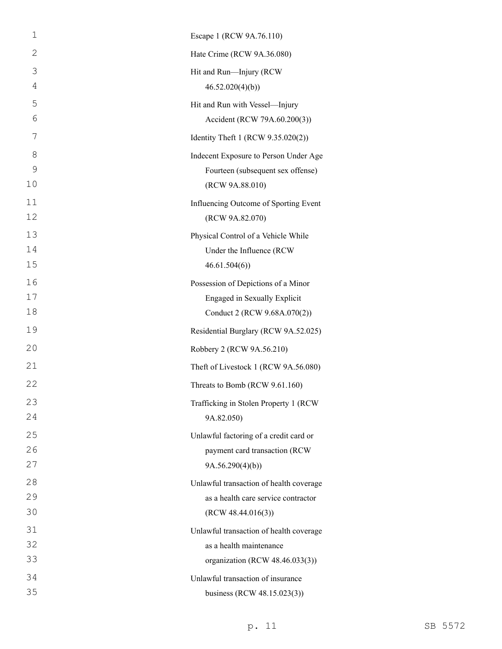| $\mathbf 1$ | Escape 1 (RCW 9A.76.110)                                     |
|-------------|--------------------------------------------------------------|
| 2           | Hate Crime (RCW 9A.36.080)                                   |
| 3           | Hit and Run-Injury (RCW                                      |
| 4           | 46.52.020(4)(b)                                              |
| 5           | Hit and Run with Vessel-Injury                               |
| 6           | Accident (RCW 79A.60.200(3))                                 |
| 7           | Identity Theft 1 (RCW 9.35.020(2))                           |
| 8           | Indecent Exposure to Person Under Age                        |
| 9           | Fourteen (subsequent sex offense)                            |
| 10          | (RCW 9A.88.010)                                              |
| 11          | Influencing Outcome of Sporting Event                        |
| 12          | (RCW 9A.82.070)                                              |
| 13          | Physical Control of a Vehicle While                          |
| 14          | Under the Influence (RCW                                     |
| 15          | 46.61.504(6)                                                 |
| 16<br>17    | Possession of Depictions of a Minor                          |
| 18          | Engaged in Sexually Explicit<br>Conduct 2 (RCW 9.68A.070(2)) |
| 19          | Residential Burglary (RCW 9A.52.025)                         |
| 20          | Robbery 2 (RCW 9A.56.210)                                    |
| 21          | Theft of Livestock 1 (RCW 9A.56.080)                         |
| 22          |                                                              |
|             | Threats to Bomb (RCW 9.61.160)                               |
| 23<br>24    | Trafficking in Stolen Property 1 (RCW<br>9A.82.050)          |
| 25          | Unlawful factoring of a credit card or                       |
| 26          | payment card transaction (RCW                                |
| 27          | 9A.56.290(4)(b)                                              |
| 28          | Unlawful transaction of health coverage                      |
| 29          | as a health care service contractor                          |
| 30          | (RCW 48.44.016(3))                                           |
| 31          | Unlawful transaction of health coverage                      |
| 32          | as a health maintenance                                      |
| 33          | organization (RCW 48.46.033(3))                              |
| 34          | Unlawful transaction of insurance                            |
| 35          | business (RCW 48.15.023(3))                                  |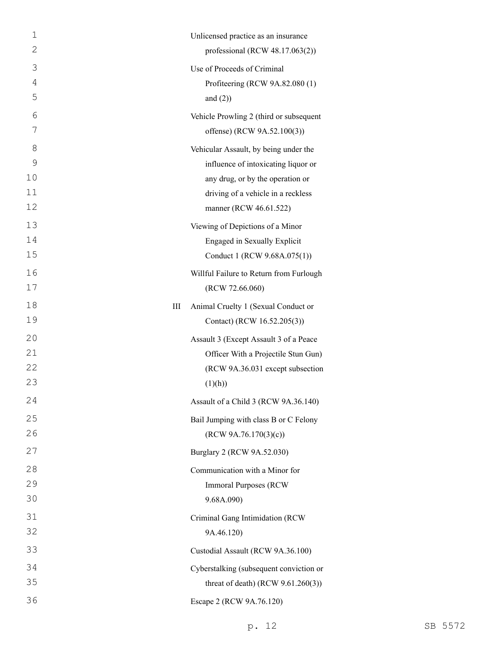| $\mathbf{1}$ |   | Unlicensed practice as an insurance     |
|--------------|---|-----------------------------------------|
| $\mathbf{2}$ |   | professional (RCW 48.17.063(2))         |
| 3            |   | Use of Proceeds of Criminal             |
| 4            |   | Profiteering (RCW 9A.82.080 (1)         |
| 5            |   | and $(2)$ )                             |
| 6            |   | Vehicle Prowling 2 (third or subsequent |
| 7            |   | offense) (RCW 9A.52.100(3))             |
| 8            |   | Vehicular Assault, by being under the   |
| 9            |   | influence of intoxicating liquor or     |
| 10           |   | any drug, or by the operation or        |
| 11           |   | driving of a vehicle in a reckless      |
| 12           |   | manner (RCW 46.61.522)                  |
| 13           |   | Viewing of Depictions of a Minor        |
| 14           |   | Engaged in Sexually Explicit            |
| 15           |   | Conduct 1 (RCW 9.68A.075(1))            |
| 16           |   | Willful Failure to Return from Furlough |
| 17           |   | (RCW 72.66.060)                         |
| 18           | Ш | Animal Cruelty 1 (Sexual Conduct or     |
| 19           |   | Contact) (RCW 16.52.205(3))             |
| 20           |   | Assault 3 (Except Assault 3 of a Peace  |
| 21           |   | Officer With a Projectile Stun Gun)     |
| 22           |   | (RCW 9A.36.031 except subsection        |
| 23           |   | (1)(h))                                 |
| 24           |   | Assault of a Child 3 (RCW 9A.36.140)    |
| 25           |   | Bail Jumping with class B or C Felony   |
| 26           |   | (RCW 9A.76.170(3)(c))                   |
| 27           |   | Burglary 2 (RCW 9A.52.030)              |
| 28           |   | Communication with a Minor for          |
| 29           |   | <b>Immoral Purposes (RCW)</b>           |
| 30           |   | 9.68A.090)                              |
| 31           |   | Criminal Gang Intimidation (RCW         |
| 32           |   | 9A.46.120)                              |
| 33           |   | Custodial Assault (RCW 9A.36.100)       |
| 34           |   | Cyberstalking (subsequent conviction or |
| 35           |   | threat of death) (RCW $9.61.260(3)$ )   |
| 36           |   | Escape 2 (RCW 9A.76.120)                |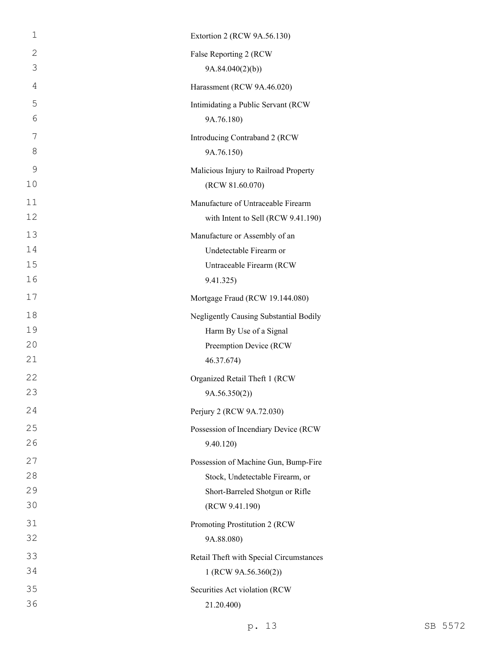| $\mathbf 1$    | Extortion 2 (RCW 9A.56.130)             |
|----------------|-----------------------------------------|
| 2              | False Reporting 2 (RCW                  |
| 3              | 9A.84.040(2)(b)                         |
| $\overline{4}$ | Harassment (RCW 9A.46.020)              |
| 5              | Intimidating a Public Servant (RCW      |
| 6              | 9A.76.180)                              |
| 7              | Introducing Contraband 2 (RCW           |
| 8              | 9A.76.150)                              |
| $\mathcal{G}$  | Malicious Injury to Railroad Property   |
| 10             | (RCW 81.60.070)                         |
| 11             | Manufacture of Untraceable Firearm      |
| 12             | with Intent to Sell (RCW 9.41.190)      |
| 13             | Manufacture or Assembly of an           |
| 14             | Undetectable Firearm or                 |
| 15             | Untraceable Firearm (RCW                |
| 16             | 9.41.325)                               |
| 17             | Mortgage Fraud (RCW 19.144.080)         |
| 18             | Negligently Causing Substantial Bodily  |
| 19             | Harm By Use of a Signal                 |
| 20             | Preemption Device (RCW                  |
| 21             | 46.37.674)                              |
| 22             | Organized Retail Theft 1 (RCW           |
| 23             | 9A.56.350(2))                           |
| 24             | Perjury 2 (RCW 9A.72.030)               |
| 25             | Possession of Incendiary Device (RCW    |
| 26             | 9.40.120)                               |
| 27             | Possession of Machine Gun, Bump-Fire    |
| 28             | Stock, Undetectable Firearm, or         |
| 29             | Short-Barreled Shotgun or Rifle         |
| 30             | (RCW 9.41.190)                          |
| 31             | Promoting Prostitution 2 (RCW           |
| 32             | 9A.88.080)                              |
| 33             | Retail Theft with Special Circumstances |
| 34             | 1 (RCW 9A.56.360(2))                    |
| 35             | Securities Act violation (RCW           |
| 36             | 21.20.400)                              |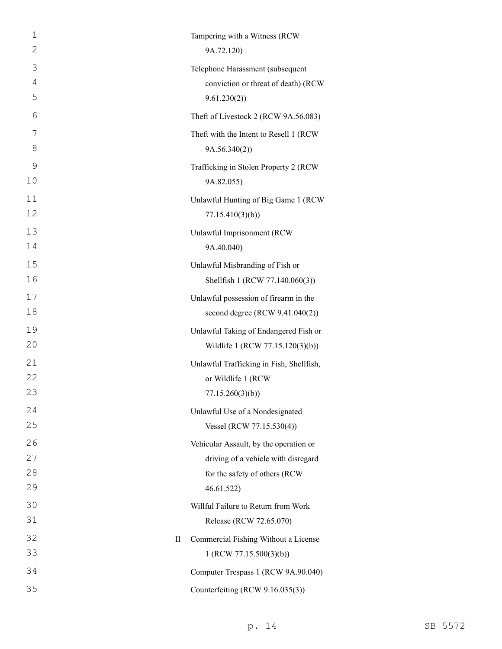| 1<br>2 | Tampering with a Witness (RCW<br>9A.72.120) |
|--------|---------------------------------------------|
| 3      | Telephone Harassment (subsequent            |
| 4      | conviction or threat of death) (RCW         |
| 5      | 9.61.230(2)                                 |
| 6      | Theft of Livestock 2 (RCW 9A.56.083)        |
| 7      | Theft with the Intent to Resell 1 (RCW      |
| 8      | 9A.56.340(2)                                |
| 9      | Trafficking in Stolen Property 2 (RCW       |
| 10     | 9A.82.055)                                  |
| 11     | Unlawful Hunting of Big Game 1 (RCW         |
| 12     | 77.15.410(3)(b)                             |
| 13     | Unlawful Imprisonment (RCW                  |
| 14     | 9A.40.040)                                  |
| 15     | Unlawful Misbranding of Fish or             |
| 16     | Shellfish 1 (RCW 77.140.060(3))             |
| 17     | Unlawful possession of firearm in the       |
| 18     | second degree $(RCW 9.41.040(2))$           |
| 19     | Unlawful Taking of Endangered Fish or       |
| 20     | Wildlife 1 (RCW 77.15.120(3)(b))            |
| 21     | Unlawful Trafficking in Fish, Shellfish,    |
| 22     | or Wildlife 1 (RCW                          |
| 23     | 77.15.260(3)(b)                             |
| 24     | Unlawful Use of a Nondesignated             |
| 25     | Vessel (RCW 77.15.530(4))                   |
| 26     | Vehicular Assault, by the operation or      |
| 27     | driving of a vehicle with disregard         |
| 28     | for the safety of others (RCW               |
| 29     | 46.61.522)                                  |
| 30     | Willful Failure to Return from Work         |
| 31     | Release (RCW 72.65.070)                     |
| 32     | Commercial Fishing Without a License<br>П   |
| 33     | 1 (RCW 77.15.500(3)(b))                     |
| 34     | Computer Trespass 1 (RCW 9A.90.040)         |
| 35     | Counterfeiting (RCW 9.16.035(3))            |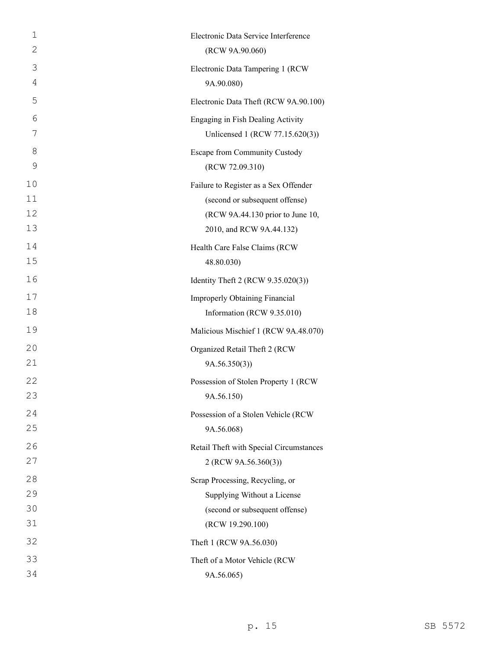| 1  | Electronic Data Service Interference    |
|----|-----------------------------------------|
| 2  | (RCW 9A.90.060)                         |
| 3  | Electronic Data Tampering 1 (RCW)       |
| 4  | 9A.90.080)                              |
| 5  | Electronic Data Theft (RCW 9A.90.100)   |
| 6  | Engaging in Fish Dealing Activity       |
| 7  | Unlicensed 1 (RCW 77.15.620(3))         |
| 8  | Escape from Community Custody           |
| 9  | (RCW 72.09.310)                         |
| 10 | Failure to Register as a Sex Offender   |
| 11 | (second or subsequent offense)          |
| 12 | (RCW 9A.44.130 prior to June 10,        |
| 13 | 2010, and RCW 9A.44.132)                |
| 14 | Health Care False Claims (RCW           |
| 15 | 48.80.030)                              |
| 16 | Identity Theft 2 (RCW 9.35.020(3))      |
| 17 | Improperly Obtaining Financial          |
| 18 | Information (RCW 9.35.010)              |
| 19 | Malicious Mischief 1 (RCW 9A.48.070)    |
| 20 | Organized Retail Theft 2 (RCW           |
| 21 | 9A.56.350(3)                            |
| 22 | Possession of Stolen Property 1 (RCW    |
| 23 | 9A.56.150)                              |
| 24 | Possession of a Stolen Vehicle (RCW     |
| 25 | 9A.56.068)                              |
| 26 | Retail Theft with Special Circumstances |
| 27 | 2 (RCW 9A.56.360(3))                    |
| 28 | Scrap Processing, Recycling, or         |
| 29 | Supplying Without a License             |
| 30 | (second or subsequent offense)          |
| 31 | (RCW 19.290.100)                        |
| 32 | Theft 1 (RCW 9A.56.030)                 |
| 33 | Theft of a Motor Vehicle (RCW           |
| 34 | 9A.56.065)                              |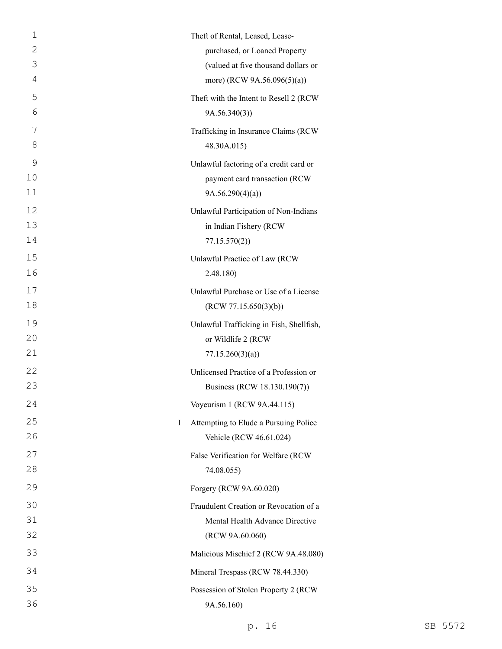| 1       | Theft of Rental, Leased, Lease-          |
|---------|------------------------------------------|
| 2       | purchased, or Loaned Property            |
| 3       | (valued at five thousand dollars or      |
| 4       | more) (RCW 9A.56.096(5)(a))              |
| 5       | Theft with the Intent to Resell 2 (RCW   |
| 6       | 9A.56.340(3)                             |
| 7       | Trafficking in Insurance Claims (RCW     |
| 8       | 48.30A.015)                              |
| 9       | Unlawful factoring of a credit card or   |
| 10      | payment card transaction (RCW            |
| 11      | 9A.56.290(4)(a)                          |
| 12      | Unlawful Participation of Non-Indians    |
| 13      | in Indian Fishery (RCW                   |
| 14      | 77.15.570(2)                             |
| 15      | Unlawful Practice of Law (RCW            |
| 16      | 2.48.180)                                |
| 17      | Unlawful Purchase or Use of a License    |
| 18      | (RCW 77.15.650(3)(b))                    |
| 19      | Unlawful Trafficking in Fish, Shellfish, |
| 20      | or Wildlife 2 (RCW)                      |
| 21      | 77.15.260(3)(a)                          |
| 22      | Unlicensed Practice of a Profession or   |
| 23      | Business (RCW 18.130.190(7))             |
| 24      | Voyeurism 1 (RCW 9A.44.115)              |
| 25<br>Ι | Attempting to Elude a Pursuing Police    |
| 26      | Vehicle (RCW 46.61.024)                  |
| 27      | False Verification for Welfare (RCW      |
| 28      | 74.08.055)                               |
| 29      | Forgery (RCW 9A.60.020)                  |
| 30      | Fraudulent Creation or Revocation of a   |
| 31      | Mental Health Advance Directive          |
| 32      | (RCW 9A.60.060)                          |
| 33      | Malicious Mischief 2 (RCW 9A.48.080)     |
| 34      | Mineral Trespass (RCW 78.44.330)         |
| 35      | Possession of Stolen Property 2 (RCW     |
| 36      | 9A.56.160)                               |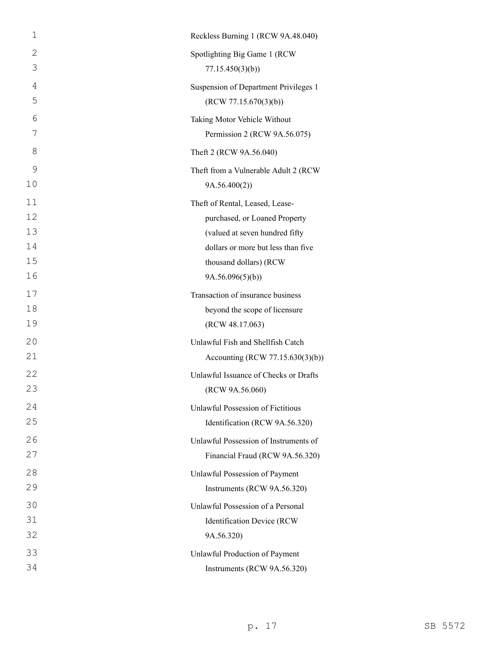| 1            | Reckless Burning 1 (RCW 9A.48.040)       |
|--------------|------------------------------------------|
| $\mathbf{2}$ | Spotlighting Big Game 1 (RCW             |
| 3            | 77.15.450(3)(b)                          |
| 4            | Suspension of Department Privileges 1    |
| 5            | (RCW 77.15.670(3)(b))                    |
| 6            | Taking Motor Vehicle Without             |
| 7            | Permission 2 (RCW 9A.56.075)             |
| 8            | Theft 2 (RCW 9A.56.040)                  |
| 9            | Theft from a Vulnerable Adult 2 (RCW     |
| 10           | 9A.56.400(2)                             |
| 11           | Theft of Rental, Leased, Lease-          |
| 12           | purchased, or Loaned Property            |
| 13           | (valued at seven hundred fifty           |
| 14           | dollars or more but less than five       |
| 15           | thousand dollars) (RCW                   |
| 16           | 9A.56.096(5)(b)                          |
| 17           | Transaction of insurance business        |
| 18           | beyond the scope of licensure            |
| 19           | (RCW 48.17.063)                          |
| 20           | Unlawful Fish and Shellfish Catch        |
| 21           | Accounting (RCW 77.15.630(3)(b))         |
| 22           | Unlawful Issuance of Checks or Drafts    |
| 23           | (RCW 9A.56.060)                          |
| 24           | <b>Unlawful Possession of Fictitious</b> |
| 25           | Identification (RCW 9A.56.320)           |
| 26           | Unlawful Possession of Instruments of    |
| 27           | Financial Fraud (RCW 9A.56.320)          |
| 28           | Unlawful Possession of Payment           |
| 29           | Instruments (RCW 9A.56.320)              |
| 30           | Unlawful Possession of a Personal        |
| 31           | Identification Device (RCW               |
| 32           | 9A.56.320)                               |
| 33           | Unlawful Production of Payment           |
| 34           | Instruments (RCW 9A.56.320)              |
|              |                                          |